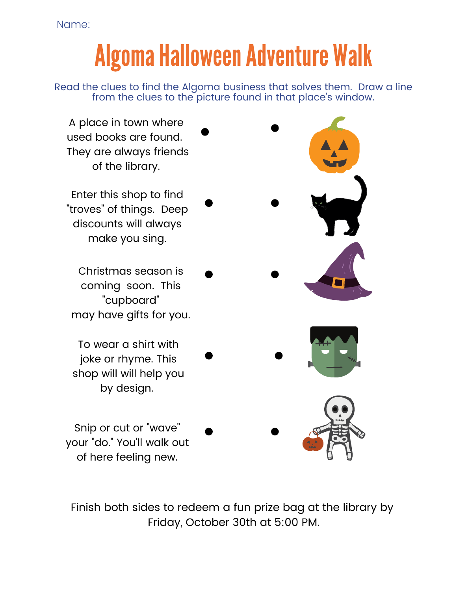Name:

## **Algoma Halloween Adventure Walk**

Read the clues to find the Algoma business that solves them. Draw a line from the clues to the picture found in that place's window.



Finish both sides to redeem a fun prize bag at the library by Friday, October 30th at 5:00 PM.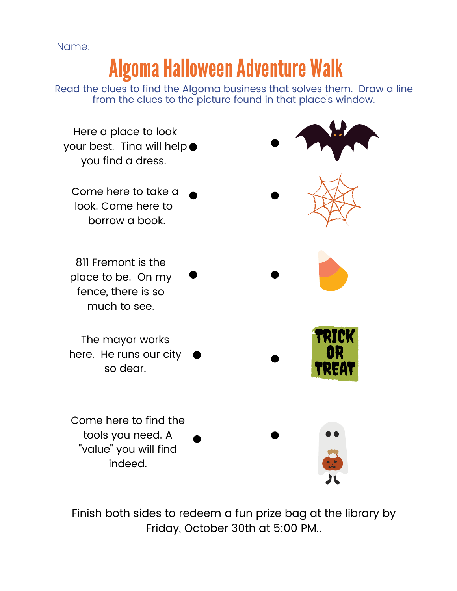Name:

## **Algoma Halloween Adventure Walk**

Read the clues to find the Algoma business that solves them. Draw a line from the clues to the picture found in that place's window.



Finish both sides to redeem a fun prize bag at the library by Friday, October 30th at 5:00 PM..